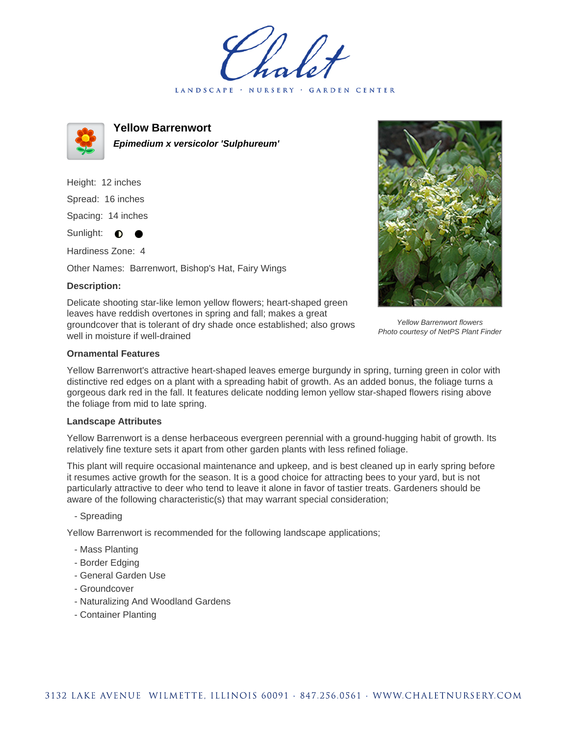LANDSCAPE · NURSERY · GARDEN CENTER



**Yellow Barrenwort Epimedium x versicolor 'Sulphureum'**

Height: 12 inches Spread: 16 inches Spacing: 14 inches Sunlight: **O**  $\bullet$ 

Hardiness Zone: 4

Other Names: Barrenwort, Bishop's Hat, Fairy Wings

## **Description:**

Delicate shooting star-like lemon yellow flowers; heart-shaped green leaves have reddish overtones in spring and fall; makes a great groundcover that is tolerant of dry shade once established; also grows well in moisture if well-drained



Yellow Barrenwort flowers Photo courtesy of NetPS Plant Finder

## **Ornamental Features**

Yellow Barrenwort's attractive heart-shaped leaves emerge burgundy in spring, turning green in color with distinctive red edges on a plant with a spreading habit of growth. As an added bonus, the foliage turns a gorgeous dark red in the fall. It features delicate nodding lemon yellow star-shaped flowers rising above the foliage from mid to late spring.

## **Landscape Attributes**

Yellow Barrenwort is a dense herbaceous evergreen perennial with a ground-hugging habit of growth. Its relatively fine texture sets it apart from other garden plants with less refined foliage.

This plant will require occasional maintenance and upkeep, and is best cleaned up in early spring before it resumes active growth for the season. It is a good choice for attracting bees to your yard, but is not particularly attractive to deer who tend to leave it alone in favor of tastier treats. Gardeners should be aware of the following characteristic(s) that may warrant special consideration;

- Spreading

Yellow Barrenwort is recommended for the following landscape applications;

- Mass Planting
- Border Edging
- General Garden Use
- Groundcover
- Naturalizing And Woodland Gardens
- Container Planting